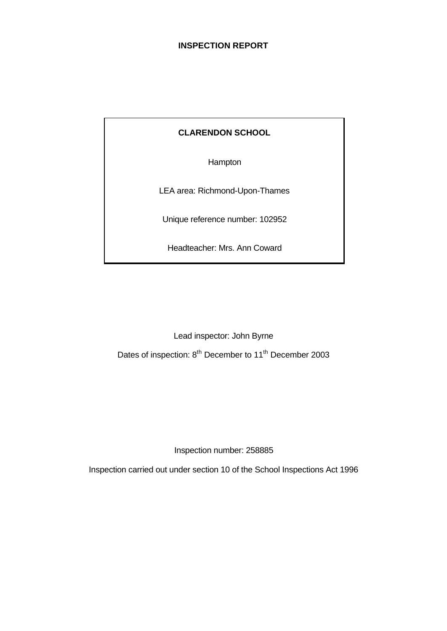# **INSPECTION REPORT**

# **CLARENDON SCHOOL**

Hampton

LEA area: Richmond-Upon-Thames

Unique reference number: 102952

Headteacher: Mrs. Ann Coward

Lead inspector: John Byrne

Dates of inspection: 8<sup>th</sup> December to 11<sup>th</sup> December 2003

Inspection number: 258885

Inspection carried out under section 10 of the School Inspections Act 1996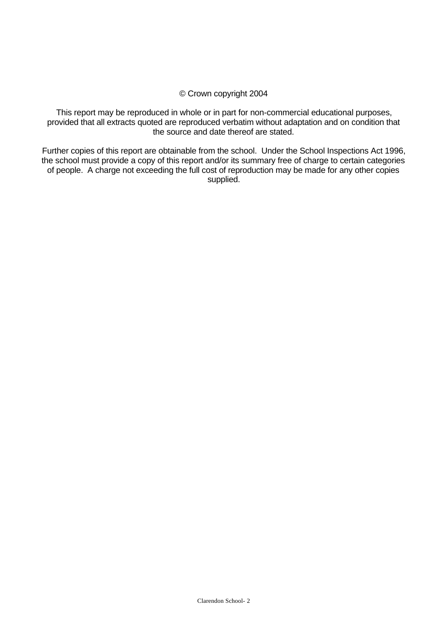## © Crown copyright 2004

This report may be reproduced in whole or in part for non-commercial educational purposes, provided that all extracts quoted are reproduced verbatim without adaptation and on condition that the source and date thereof are stated.

Further copies of this report are obtainable from the school. Under the School Inspections Act 1996, the school must provide a copy of this report and/or its summary free of charge to certain categories of people. A charge not exceeding the full cost of reproduction may be made for any other copies supplied.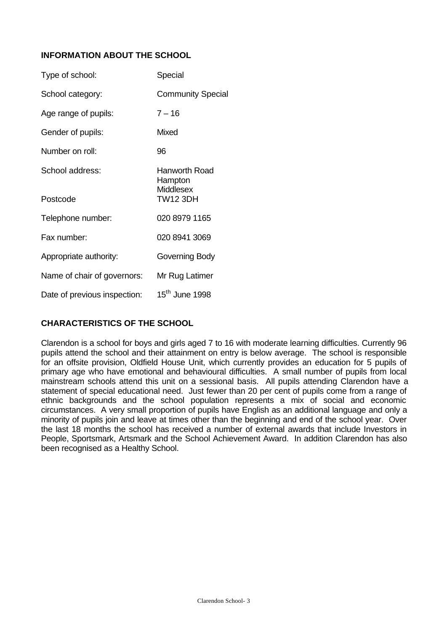# **INFORMATION ABOUT THE SCHOOL**

| Type of school:              | Special                                                         |
|------------------------------|-----------------------------------------------------------------|
| School category:             | <b>Community Special</b>                                        |
| Age range of pupils:         | $7 - 16$                                                        |
| Gender of pupils:            | Mixed                                                           |
| Number on roll:              | 96                                                              |
| School address:              | Hanworth Road<br>Hampton<br><b>Middlesex</b><br><b>TW12 3DH</b> |
| Postcode                     |                                                                 |
| Telephone number:            | 020 8979 1165                                                   |
| Fax number:                  | 020 8941 3069                                                   |
| Appropriate authority:       | Governing Body                                                  |
| Name of chair of governors:  | Mr Rug Latimer                                                  |
| Date of previous inspection: | $15^{\text{th}}$ June 1998                                      |

# **CHARACTERISTICS OF THE SCHOOL**

Clarendon is a school for boys and girls aged 7 to 16 with moderate learning difficulties. Currently 96 pupils attend the school and their attainment on entry is below average. The school is responsible for an offsite provision, Oldfield House Unit, which currently provides an education for 5 pupils of primary age who have emotional and behavioural difficulties. A small number of pupils from local mainstream schools attend this unit on a sessional basis. All pupils attending Clarendon have a statement of special educational need. Just fewer than 20 per cent of pupils come from a range of ethnic backgrounds and the school population represents a mix of social and economic circumstances. A very small proportion of pupils have English as an additional language and only a minority of pupils join and leave at times other than the beginning and end of the school year. Over the last 18 months the school has received a number of external awards that include Investors in People, Sportsmark, Artsmark and the School Achievement Award. In addition Clarendon has also been recognised as a Healthy School.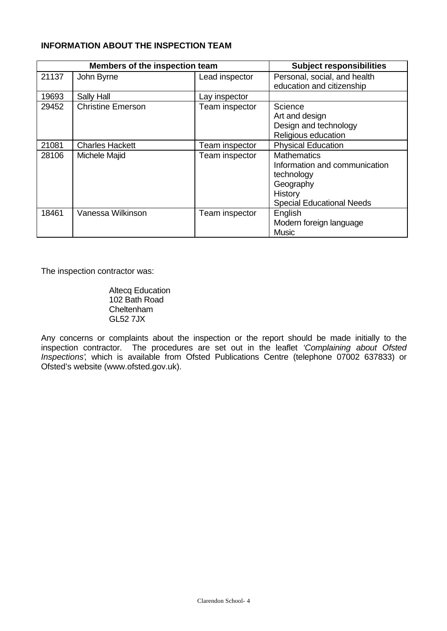# **INFORMATION ABOUT THE INSPECTION TEAM**

| Members of the inspection team |                          |                | <b>Subject responsibilities</b>                                                                                               |
|--------------------------------|--------------------------|----------------|-------------------------------------------------------------------------------------------------------------------------------|
| 21137                          | John Byrne               | Lead inspector | Personal, social, and health<br>education and citizenship                                                                     |
| 19693                          | Sally Hall               | Lay inspector  |                                                                                                                               |
| 29452                          | <b>Christine Emerson</b> | Team inspector | Science<br>Art and design<br>Design and technology<br>Religious education                                                     |
| 21081                          | <b>Charles Hackett</b>   | Team inspector | <b>Physical Education</b>                                                                                                     |
| 28106                          | Michele Majid            | Team inspector | <b>Mathematics</b><br>Information and communication<br>technology<br>Geography<br>History<br><b>Special Educational Needs</b> |
| 18461                          | Vanessa Wilkinson        | Team inspector | English<br>Modern foreign language<br><b>Music</b>                                                                            |

The inspection contractor was:

Altecq Education 102 Bath Road Cheltenham GL52 7JX

Any concerns or complaints about the inspection or the report should be made initially to the inspection contractor. The procedures are set out in the leaflet *'Complaining about Ofsted Inspections'*, which is available from Ofsted Publications Centre (telephone 07002 637833) or Ofsted's website (www.ofsted.gov.uk).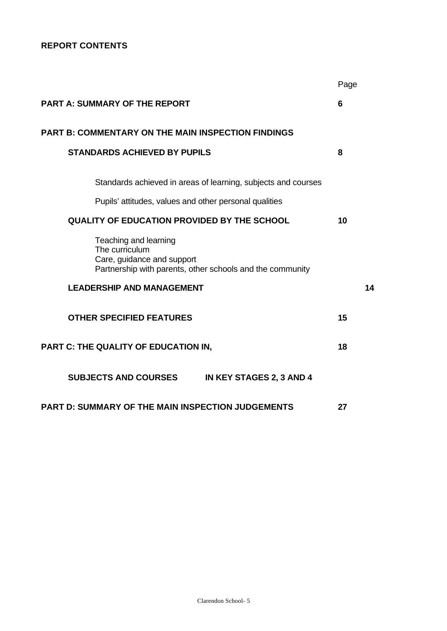# **REPORT CONTENTS**

|                                                                                                                                    | Page |
|------------------------------------------------------------------------------------------------------------------------------------|------|
| <b>PART A: SUMMARY OF THE REPORT</b>                                                                                               | 6    |
| PART B: COMMENTARY ON THE MAIN INSPECTION FINDINGS                                                                                 |      |
| <b>STANDARDS ACHIEVED BY PUPILS</b>                                                                                                | 8    |
| Standards achieved in areas of learning, subjects and courses                                                                      |      |
| Pupils' attitudes, values and other personal qualities                                                                             |      |
| <b>QUALITY OF EDUCATION PROVIDED BY THE SCHOOL</b>                                                                                 | 10   |
| Teaching and learning<br>The curriculum<br>Care, guidance and support<br>Partnership with parents, other schools and the community |      |
| <b>LEADERSHIP AND MANAGEMENT</b>                                                                                                   | 14   |
| <b>OTHER SPECIFIED FEATURES</b>                                                                                                    | 15   |
| PART C: THE QUALITY OF EDUCATION IN,                                                                                               | 18   |
| <b>SUBJECTS AND COURSES</b><br>IN KEY STAGES 2, 3 AND 4                                                                            |      |
| <b>PART D: SUMMARY OF THE MAIN INSPECTION JUDGEMENTS</b>                                                                           | 27   |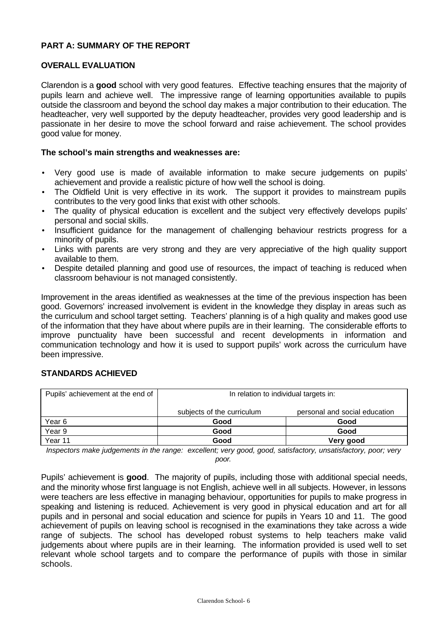## **PART A: SUMMARY OF THE REPORT**

## **OVERALL EVALUATION**

Clarendon is a **good** school with very good features. Effective teaching ensures that the majority of pupils learn and achieve well. The impressive range of learning opportunities available to pupils outside the classroom and beyond the school day makes a major contribution to their education. The headteacher, very well supported by the deputy headteacher, provides very good leadership and is passionate in her desire to move the school forward and raise achievement. The school provides good value for money.

## **The school's main strengths and weaknesses are:**

- Very good use is made of available information to make secure judgements on pupils' achievement and provide a realistic picture of how well the school is doing.
- The Oldfield Unit is very effective in its work. The support it provides to mainstream pupils contributes to the very good links that exist with other schools.
- The quality of physical education is excellent and the subject very effectively develops pupils' personal and social skills.
- Insufficient guidance for the management of challenging behaviour restricts progress for a minority of pupils.
- Links with parents are very strong and they are very appreciative of the high quality support available to them.
- Despite detailed planning and good use of resources, the impact of teaching is reduced when classroom behaviour is not managed consistently.

Improvement in the areas identified as weaknesses at the time of the previous inspection has been good. Governors' increased involvement is evident in the knowledge they display in areas such as the curriculum and school target setting. Teachers' planning is of a high quality and makes good use of the information that they have about where pupils are in their learning. The considerable efforts to improve punctuality have been successful and recent developments in information and communication technology and how it is used to support pupils' work across the curriculum have been impressive.

## **STANDARDS ACHIEVED**

| Pupils' achievement at the end of | In relation to individual targets in: |                               |  |  |  |
|-----------------------------------|---------------------------------------|-------------------------------|--|--|--|
|                                   | subjects of the curriculum            | personal and social education |  |  |  |
| Year 6                            | Good                                  | Good                          |  |  |  |
| Year 9                            | Good                                  | Good                          |  |  |  |
| Year 11                           | Good                                  | Very good                     |  |  |  |

*Inspectors make judgements in the range: excellent; very good, good, satisfactory, unsatisfactory, poor; very poor.*

Pupils' achievement is **good**. The majority of pupils, including those with additional special needs, and the minority whose first language is not English, achieve well in all subjects. However, in lessons were teachers are less effective in managing behaviour, opportunities for pupils to make progress in speaking and listening is reduced. Achievement is very good in physical education and art for all pupils and in personal and social education and science for pupils in Years 10 and 11. The good achievement of pupils on leaving school is recognised in the examinations they take across a wide range of subjects. The school has developed robust systems to help teachers make valid judgements about where pupils are in their learning. The information provided is used well to set relevant whole school targets and to compare the performance of pupils with those in similar schools.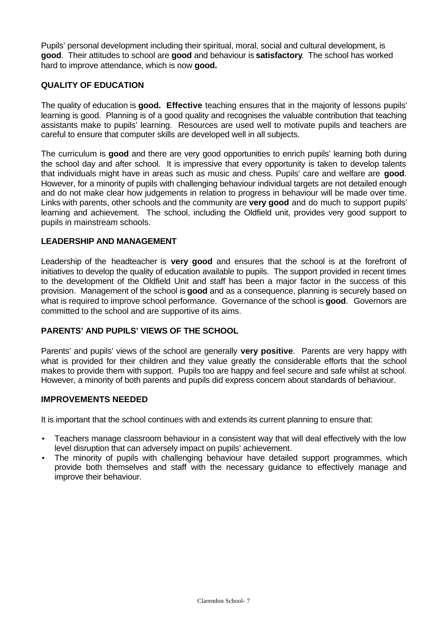Pupils' personal development including their spiritual, moral, social and cultural development, is **good**. Their attitudes to school are **good** and behaviour is **satisfactory**. The school has worked hard to improve attendance, which is now **good.**

## **QUALITY OF EDUCATION**

The quality of education is **good. Effective** teaching ensures that in the majority of lessons pupils' learning is good. Planning is of a good quality and recognises the valuable contribution that teaching assistants make to pupils' learning. Resources are used well to motivate pupils and teachers are careful to ensure that computer skills are developed well in all subjects.

The curriculum is **good** and there are very good opportunities to enrich pupils' learning both during the school day and after school. It is impressive that every opportunity is taken to develop talents that individuals might have in areas such as music and chess. Pupils' care and welfare are **good**. However, for a minority of pupils with challenging behaviour individual targets are not detailed enough and do not make clear how judgements in relation to progress in behaviour will be made over time. Links with parents, other schools and the community are **very good** and do much to support pupils' learning and achievement. The school, including the Oldfield unit, provides very good support to pupils in mainstream schools.

## **LEADERSHIP AND MANAGEMENT**

Leadership of the headteacher is **very good** and ensures that the school is at the forefront of initiatives to develop the quality of education available to pupils. The support provided in recent times to the development of the Oldfield Unit and staff has been a major factor in the success of this provision. Management of the school is **good** and as a consequence, planning is securely based on what is required to improve school performance. Governance of the school is **good**. Governors are committed to the school and are supportive of its aims.

## **PARENTS' AND PUPILS' VIEWS OF THE SCHOOL**

Parents' and pupils' views of the school are generally **very positive**. Parents are very happy with what is provided for their children and they value greatly the considerable efforts that the school makes to provide them with support. Pupils too are happy and feel secure and safe whilst at school. However, a minority of both parents and pupils did express concern about standards of behaviour.

## **IMPROVEMENTS NEEDED**

It is important that the school continues with and extends its current planning to ensure that:

- Teachers manage classroom behaviour in a consistent way that will deal effectively with the low level disruption that can adversely impact on pupils' achievement.
- The minority of pupils with challenging behaviour have detailed support programmes, which provide both themselves and staff with the necessary guidance to effectively manage and improve their behaviour.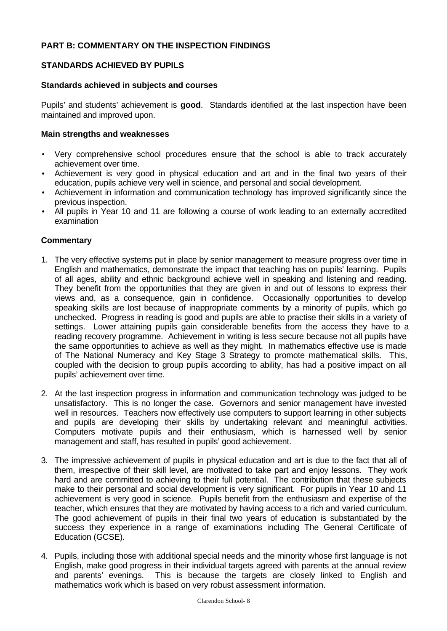## **PART B: COMMENTARY ON THE INSPECTION FINDINGS**

## **STANDARDS ACHIEVED BY PUPILS**

## **Standards achieved in subjects and courses**

Pupils' and students' achievement is **good**. Standards identified at the last inspection have been maintained and improved upon.

## **Main strengths and weaknesses**

- Very comprehensive school procedures ensure that the school is able to track accurately achievement over time.
- Achievement is very good in physical education and art and in the final two years of their education, pupils achieve very well in science, and personal and social development.
- Achievement in information and communication technology has improved significantly since the previous inspection.
- All pupils in Year 10 and 11 are following a course of work leading to an externally accredited examination

- 1. The very effective systems put in place by senior management to measure progress over time in English and mathematics, demonstrate the impact that teaching has on pupils' learning. Pupils of all ages, ability and ethnic background achieve well in speaking and listening and reading. They benefit from the opportunities that they are given in and out of lessons to express their views and, as a consequence, gain in confidence. Occasionally opportunities to develop speaking skills are lost because of inappropriate comments by a minority of pupils, which go unchecked. Progress in reading is good and pupils are able to practise their skills in a variety of settings. Lower attaining pupils gain considerable benefits from the access they have to a reading recovery programme. Achievement in writing is less secure because not all pupils have the same opportunities to achieve as well as they might. In mathematics effective use is made of The National Numeracy and Key Stage 3 Strategy to promote mathematical skills. This, coupled with the decision to group pupils according to ability, has had a positive impact on all pupils' achievement over time.
- 2. At the last inspection progress in information and communication technology was judged to be unsatisfactory. This is no longer the case. Governors and senior management have invested well in resources. Teachers now effectively use computers to support learning in other subjects and pupils are developing their skills by undertaking relevant and meaningful activities. Computers motivate pupils and their enthusiasm, which is harnessed well by senior management and staff, has resulted in pupils' good achievement.
- 3. The impressive achievement of pupils in physical education and art is due to the fact that all of them, irrespective of their skill level, are motivated to take part and enjoy lessons. They work hard and are committed to achieving to their full potential. The contribution that these subjects make to their personal and social development is very significant. For pupils in Year 10 and 11 achievement is very good in science. Pupils benefit from the enthusiasm and expertise of the teacher, which ensures that they are motivated by having access to a rich and varied curriculum. The good achievement of pupils in their final two years of education is substantiated by the success they experience in a range of examinations including The General Certificate of Education (GCSE).
- 4. Pupils, including those with additional special needs and the minority whose first language is not English, make good progress in their individual targets agreed with parents at the annual review and parents' evenings. This is because the targets are closely linked to English and mathematics work which is based on very robust assessment information.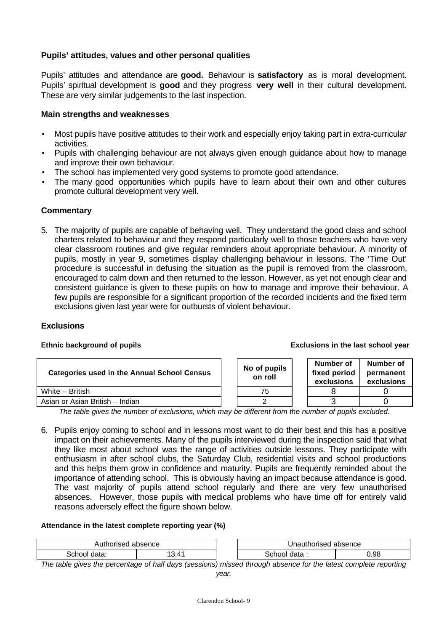## **Pupils' attitudes, values and other personal qualities**

Pupils' attitudes and attendance are **good.** Behaviour is **satisfactory** as is moral development. Pupils' spiritual development is **good** and they progress **very well** in their cultural development. These are very similar judgements to the last inspection.

## **Main strengths and weaknesses**

- Most pupils have positive attitudes to their work and especially enjoy taking part in extra-curricular activities.
- Pupils with challenging behaviour are not always given enough guidance about how to manage and improve their own behaviour.
- The school has implemented very good systems to promote good attendance.
- The many good opportunities which pupils have to learn about their own and other cultures promote cultural development very well.

## **Commentary**

5. The majority of pupils are capable of behaving well. They understand the good class and school charters related to behaviour and they respond particularly well to those teachers who have very clear classroom routines and give regular reminders about appropriate behaviour. A minority of pupils, mostly in year 9, sometimes display challenging behaviour in lessons. The 'Time Out' procedure is successful in defusing the situation as the pupil is removed from the classroom, encouraged to calm down and then returned to the lesson. However, as yet not enough clear and consistent guidance is given to these pupils on how to manage and improve their behaviour. A few pupils are responsible for a significant proportion of the recorded incidents and the fixed term exclusions given last year were for outbursts of violent behaviour.

#### **Exclusions**

#### **Ethnic background of pupils Exclusions in the last school year**

| <b>Categories used in the Annual School Census</b> | No of pupils<br>on roll | Number of<br>fixed period<br>exclusions | Number of<br>permanent<br>exclusions |
|----------------------------------------------------|-------------------------|-----------------------------------------|--------------------------------------|
| White - British                                    | 75                      |                                         |                                      |
| Asian or Asian British - Indian                    |                         |                                         |                                      |

*The table gives the number of exclusions, which may be different from the number of pupils excluded.*

6. Pupils enjoy coming to school and in lessons most want to do their best and this has a positive impact on their achievements. Many of the pupils interviewed during the inspection said that what they like most about school was the range of activities outside lessons. They participate with enthusiasm in after school clubs, the Saturday Club, residential visits and school productions and this helps them grow in confidence and maturity. Pupils are frequently reminded about the importance of attending school. This is obviously having an impact because attendance is good. The vast majority of pupils attend school regularly and there are very few unauthorised absences. However, those pupils with medical problems who have time off for entirely valid reasons adversely effect the figure shown below.

#### **Attendance in the latest complete reporting year (%)**

| $\sim$<br>$\sim$<br>apsence<br>156.U |                        | horised<br>Jnaut<br>. | bsence<br>a |
|--------------------------------------|------------------------|-----------------------|-------------|
| ⊰ch<br>data<br>.                     | $\overline{11}$<br>. 4 | data.<br>ור           | 98          |

*The table gives the percentage of half days (sessions) missed through absence for the latest complete reporting*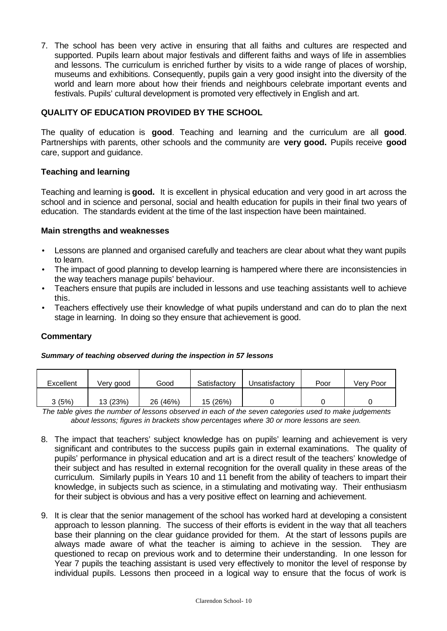7. The school has been very active in ensuring that all faiths and cultures are respected and supported. Pupils learn about major festivals and different faiths and ways of life in assemblies and lessons. The curriculum is enriched further by visits to a wide range of places of worship, museums and exhibitions. Consequently, pupils gain a very good insight into the diversity of the world and learn more about how their friends and neighbours celebrate important events and festivals. Pupils' cultural development is promoted very effectively in English and art.

# **QUALITY OF EDUCATION PROVIDED BY THE SCHOOL**

The quality of education is **good**. Teaching and learning and the curriculum are all **good**. Partnerships with parents, other schools and the community are **very good.** Pupils receive **good** care, support and guidance.

## **Teaching and learning**

Teaching and learning is **good.** It is excellent in physical education and very good in art across the school and in science and personal, social and health education for pupils in their final two years of education. The standards evident at the time of the last inspection have been maintained.

## **Main strengths and weaknesses**

- Lessons are planned and organised carefully and teachers are clear about what they want pupils to learn.
- The impact of good planning to develop learning is hampered where there are inconsistencies in the way teachers manage pupils' behaviour.
- Teachers ensure that pupils are included in lessons and use teaching assistants well to achieve this.
- Teachers effectively use their knowledge of what pupils understand and can do to plan the next stage in learning. In doing so they ensure that achievement is good.

## **Commentary**

#### *Summary of teaching observed during the inspection in 57 lessons*

| Excellent | Verv good | Good     | Satisfactory | Unsatisfactorv | Poor | Verv Poor |
|-----------|-----------|----------|--------------|----------------|------|-----------|
| 3(5%)     | 13 (23%)  | 26 (46%) | 15 (26%)     |                |      |           |

*The table gives the number of lessons observed in each of the seven categories used to make judgements about lessons; figures in brackets show percentages where 30 or more lessons are seen.*

- 8. The impact that teachers' subject knowledge has on pupils' learning and achievement is very significant and contributes to the success pupils gain in external examinations. The quality of pupils' performance in physical education and art is a direct result of the teachers' knowledge of their subject and has resulted in external recognition for the overall quality in these areas of the curriculum. Similarly pupils in Years 10 and 11 benefit from the ability of teachers to impart their knowledge, in subjects such as science, in a stimulating and motivating way. Their enthusiasm for their subject is obvious and has a very positive effect on learning and achievement.
- 9. It is clear that the senior management of the school has worked hard at developing a consistent approach to lesson planning. The success of their efforts is evident in the way that all teachers base their planning on the clear guidance provided for them. At the start of lessons pupils are always made aware of what the teacher is aiming to achieve in the session. They are questioned to recap on previous work and to determine their understanding. In one lesson for Year 7 pupils the teaching assistant is used very effectively to monitor the level of response by individual pupils. Lessons then proceed in a logical way to ensure that the focus of work is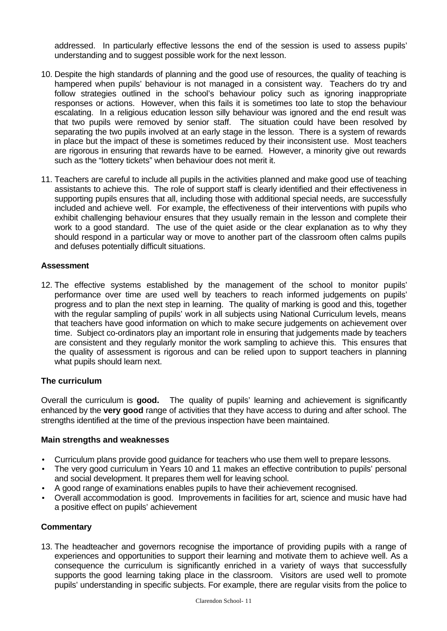addressed. In particularly effective lessons the end of the session is used to assess pupils' understanding and to suggest possible work for the next lesson.

- 10. Despite the high standards of planning and the good use of resources, the quality of teaching is hampered when pupils' behaviour is not managed in a consistent way. Teachers do try and follow strategies outlined in the school's behaviour policy such as ignoring inappropriate responses or actions. However, when this fails it is sometimes too late to stop the behaviour escalating. In a religious education lesson silly behaviour was ignored and the end result was that two pupils were removed by senior staff. The situation could have been resolved by separating the two pupils involved at an early stage in the lesson. There is a system of rewards in place but the impact of these is sometimes reduced by their inconsistent use. Most teachers are rigorous in ensuring that rewards have to be earned. However, a minority give out rewards such as the "lottery tickets" when behaviour does not merit it.
- 11. Teachers are careful to include all pupils in the activities planned and make good use of teaching assistants to achieve this. The role of support staff is clearly identified and their effectiveness in supporting pupils ensures that all, including those with additional special needs, are successfully included and achieve well. For example, the effectiveness of their interventions with pupils who exhibit challenging behaviour ensures that they usually remain in the lesson and complete their work to a good standard. The use of the quiet aside or the clear explanation as to why they should respond in a particular way or move to another part of the classroom often calms pupils and defuses potentially difficult situations.

## **Assessment**

12. The effective systems established by the management of the school to monitor pupils' performance over time are used well by teachers to reach informed judgements on pupils' progress and to plan the next step in learning. The quality of marking is good and this, together with the regular sampling of pupils' work in all subjects using National Curriculum levels, means that teachers have good information on which to make secure judgements on achievement over time. Subject co-ordinators play an important role in ensuring that judgements made by teachers are consistent and they regularly monitor the work sampling to achieve this. This ensures that the quality of assessment is rigorous and can be relied upon to support teachers in planning what pupils should learn next.

## **The curriculum**

Overall the curriculum is **good.** The quality of pupils' learning and achievement is significantly enhanced by the **very good** range of activities that they have access to during and after school. The strengths identified at the time of the previous inspection have been maintained.

#### **Main strengths and weaknesses**

- Curriculum plans provide good guidance for teachers who use them well to prepare lessons.
- The very good curriculum in Years 10 and 11 makes an effective contribution to pupils' personal and social development. It prepares them well for leaving school.
- A good range of examinations enables pupils to have their achievement recognised.
- Overall accommodation is good. Improvements in facilities for art, science and music have had a positive effect on pupils' achievement

## **Commentary**

13. The headteacher and governors recognise the importance of providing pupils with a range of experiences and opportunities to support their learning and motivate them to achieve well. As a consequence the curriculum is significantly enriched in a variety of ways that successfully supports the good learning taking place in the classroom. Visitors are used well to promote pupils' understanding in specific subjects. For example, there are regular visits from the police to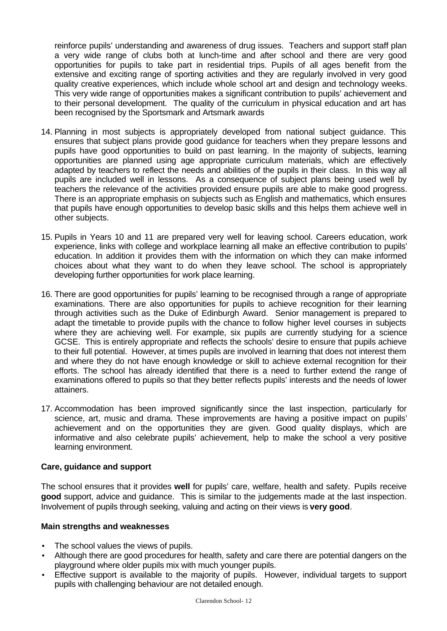reinforce pupils' understanding and awareness of drug issues. Teachers and support staff plan a very wide range of clubs both at lunch-time and after school and there are very good opportunities for pupils to take part in residential trips. Pupils of all ages benefit from the extensive and exciting range of sporting activities and they are regularly involved in very good quality creative experiences, which include whole school art and design and technology weeks. This very wide range of opportunities makes a significant contribution to pupils' achievement and to their personal development. The quality of the curriculum in physical education and art has been recognised by the Sportsmark and Artsmark awards

- 14. Planning in most subjects is appropriately developed from national subject guidance. This ensures that subject plans provide good guidance for teachers when they prepare lessons and pupils have good opportunities to build on past learning. In the majority of subjects, learning opportunities are planned using age appropriate curriculum materials, which are effectively adapted by teachers to reflect the needs and abilities of the pupils in their class. In this way all pupils are included well in lessons. As a consequence of subject plans being used well by teachers the relevance of the activities provided ensure pupils are able to make good progress. There is an appropriate emphasis on subjects such as English and mathematics, which ensures that pupils have enough opportunities to develop basic skills and this helps them achieve well in other subjects.
- 15. Pupils in Years 10 and 11 are prepared very well for leaving school. Careers education, work experience, links with college and workplace learning all make an effective contribution to pupils' education. In addition it provides them with the information on which they can make informed choices about what they want to do when they leave school. The school is appropriately developing further opportunities for work place learning.
- 16. There are good opportunities for pupils' learning to be recognised through a range of appropriate examinations. There are also opportunities for pupils to achieve recognition for their learning through activities such as the Duke of Edinburgh Award. Senior management is prepared to adapt the timetable to provide pupils with the chance to follow higher level courses in subjects where they are achieving well. For example, six pupils are currently studying for a science GCSE. This is entirely appropriate and reflects the schools' desire to ensure that pupils achieve to their full potential. However, at times pupils are involved in learning that does not interest them and where they do not have enough knowledge or skill to achieve external recognition for their efforts. The school has already identified that there is a need to further extend the range of examinations offered to pupils so that they better reflects pupils' interests and the needs of lower attainers.
- 17. Accommodation has been improved significantly since the last inspection, particularly for science, art, music and drama. These improvements are having a positive impact on pupils' achievement and on the opportunities they are given. Good quality displays, which are informative and also celebrate pupils' achievement, help to make the school a very positive learning environment.

## **Care, guidance and support**

The school ensures that it provides **well** for pupils' care, welfare, health and safety. Pupils receive **good** support, advice and guidance. This is similar to the judgements made at the last inspection. Involvement of pupils through seeking, valuing and acting on their views is **very good**.

## **Main strengths and weaknesses**

- The school values the views of pupils.
- Although there are good procedures for health, safety and care there are potential dangers on the playground where older pupils mix with much younger pupils.
- Effective support is available to the majority of pupils. However, individual targets to support pupils with challenging behaviour are not detailed enough.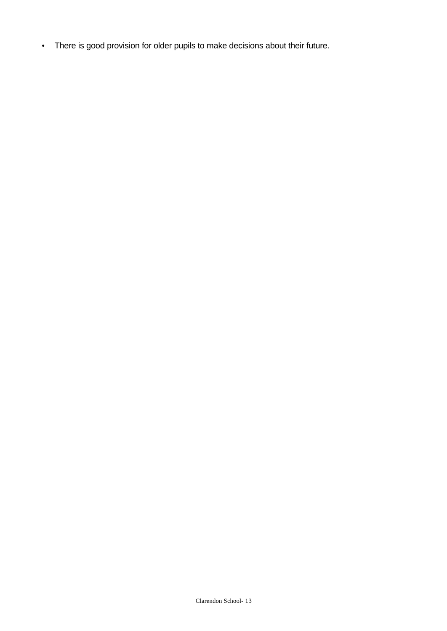• There is good provision for older pupils to make decisions about their future.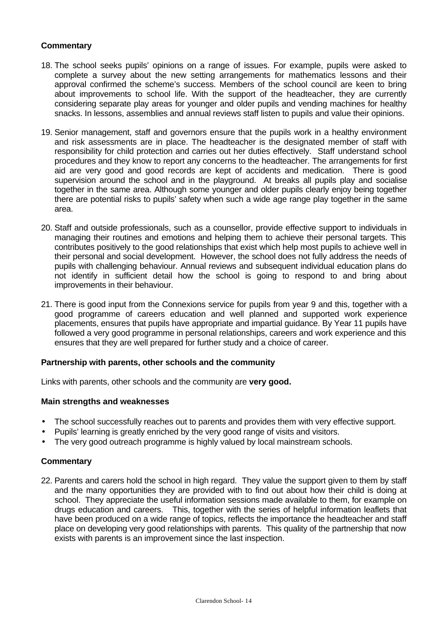## **Commentary**

- 18. The school seeks pupils' opinions on a range of issues. For example, pupils were asked to complete a survey about the new setting arrangements for mathematics lessons and their approval confirmed the scheme's success. Members of the school council are keen to bring about improvements to school life. With the support of the headteacher, they are currently considering separate play areas for younger and older pupils and vending machines for healthy snacks. In lessons, assemblies and annual reviews staff listen to pupils and value their opinions.
- 19. Senior management, staff and governors ensure that the pupils work in a healthy environment and risk assessments are in place. The headteacher is the designated member of staff with responsibility for child protection and carries out her duties effectively. Staff understand school procedures and they know to report any concerns to the headteacher. The arrangements for first aid are very good and good records are kept of accidents and medication. There is good supervision around the school and in the playground. At breaks all pupils play and socialise together in the same area. Although some younger and older pupils clearly enjoy being together there are potential risks to pupils' safety when such a wide age range play together in the same area.
- 20. Staff and outside professionals, such as a counsellor, provide effective support to individuals in managing their routines and emotions and helping them to achieve their personal targets. This contributes positively to the good relationships that exist which help most pupils to achieve well in their personal and social development. However, the school does not fully address the needs of pupils with challenging behaviour. Annual reviews and subsequent individual education plans do not identify in sufficient detail how the school is going to respond to and bring about improvements in their behaviour.
- 21. There is good input from the Connexions service for pupils from year 9 and this, together with a good programme of careers education and well planned and supported work experience placements, ensures that pupils have appropriate and impartial guidance. By Year 11 pupils have followed a very good programme in personal relationships, careers and work experience and this ensures that they are well prepared for further study and a choice of career.

## **Partnership with parents, other schools and the community**

Links with parents, other schools and the community are **very good.**

#### **Main strengths and weaknesses**

- The school successfully reaches out to parents and provides them with very effective support.
- Pupils' learning is greatly enriched by the very good range of visits and visitors.
- The very good outreach programme is highly valued by local mainstream schools.

#### **Commentary**

22. Parents and carers hold the school in high regard. They value the support given to them by staff and the many opportunities they are provided with to find out about how their child is doing at school. They appreciate the useful information sessions made available to them, for example on drugs education and careers. This, together with the series of helpful information leaflets that have been produced on a wide range of topics, reflects the importance the headteacher and staff place on developing very good relationships with parents. This quality of the partnership that now exists with parents is an improvement since the last inspection.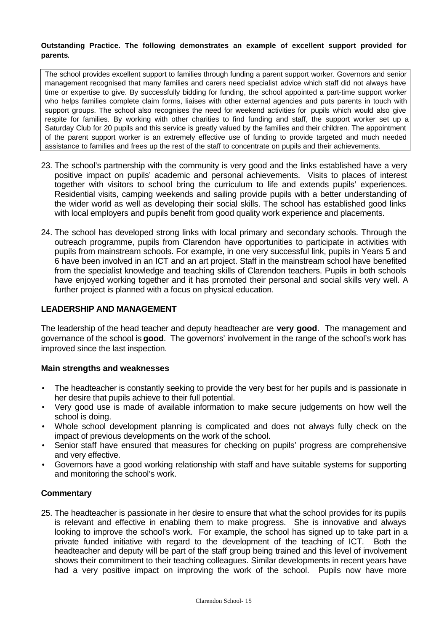#### **Outstanding Practice. The following demonstrates an example of excellent support provided for parents**.

The school provides excellent support to families through funding a parent support worker. Governors and senior management recognised that many families and carers need specialist advice which staff did not always have time or expertise to give. By successfully bidding for funding, the school appointed a part-time support worker who helps families complete claim forms, liaises with other external agencies and puts parents in touch with support groups. The school also recognises the need for weekend activities for pupils which would also give respite for families. By working with other charities to find funding and staff, the support worker set up a Saturday Club for 20 pupils and this service is greatly valued by the families and their children. The appointment of the parent support worker is an extremely effective use of funding to provide targeted and much needed assistance to families and frees up the rest of the staff to concentrate on pupils and their achievements.

- 23. The school's partnership with the community is very good and the links established have a very positive impact on pupils' academic and personal achievements. Visits to places of interest together with visitors to school bring the curriculum to life and extends pupils' experiences. Residential visits, camping weekends and sailing provide pupils with a better understanding of the wider world as well as developing their social skills. The school has established good links with local employers and pupils benefit from good quality work experience and placements.
- 24. The school has developed strong links with local primary and secondary schools. Through the outreach programme, pupils from Clarendon have opportunities to participate in activities with pupils from mainstream schools. For example, in one very successful link, pupils in Years 5 and 6 have been involved in an ICT and an art project. Staff in the mainstream school have benefited from the specialist knowledge and teaching skills of Clarendon teachers. Pupils in both schools have enjoyed working together and it has promoted their personal and social skills very well. A further project is planned with a focus on physical education.

## **LEADERSHIP AND MANAGEMENT**

The leadership of the head teacher and deputy headteacher are **very good**. The management and governance of the school is **good**. The governors' involvement in the range of the school's work has improved since the last inspection.

## **Main strengths and weaknesses**

- The headteacher is constantly seeking to provide the very best for her pupils and is passionate in her desire that pupils achieve to their full potential.
- Very good use is made of available information to make secure judgements on how well the school is doing.
- Whole school development planning is complicated and does not always fully check on the impact of previous developments on the work of the school.
- Senior staff have ensured that measures for checking on pupils' progress are comprehensive and very effective.
- Governors have a good working relationship with staff and have suitable systems for supporting and monitoring the school's work.

## **Commentary**

25. The headteacher is passionate in her desire to ensure that what the school provides for its pupils is relevant and effective in enabling them to make progress. She is innovative and always looking to improve the school's work. For example, the school has signed up to take part in a private funded initiative with regard to the development of the teaching of ICT. Both the headteacher and deputy will be part of the staff group being trained and this level of involvement shows their commitment to their teaching colleagues. Similar developments in recent years have had a very positive impact on improving the work of the school. Pupils now have more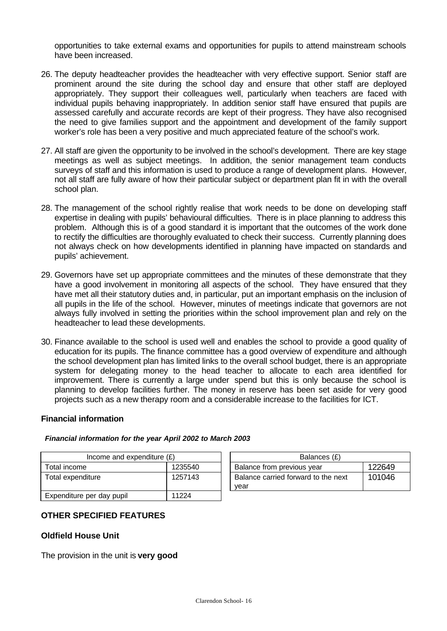opportunities to take external exams and opportunities for pupils to attend mainstream schools have been increased.

- 26. The deputy headteacher provides the headteacher with very effective support. Senior staff are prominent around the site during the school day and ensure that other staff are deployed appropriately. They support their colleagues well, particularly when teachers are faced with individual pupils behaving inappropriately. In addition senior staff have ensured that pupils are assessed carefully and accurate records are kept of their progress. They have also recognised the need to give families support and the appointment and development of the family support worker's role has been a very positive and much appreciated feature of the school's work.
- 27. All staff are given the opportunity to be involved in the school's development. There are key stage meetings as well as subject meetings. In addition, the senior management team conducts survevs of staff and this information is used to produce a range of development plans. However, not all staff are fully aware of how their particular subject or department plan fit in with the overall school plan.
- 28. The management of the school rightly realise that work needs to be done on developing staff expertise in dealing with pupils' behavioural difficulties. There is in place planning to address this problem. Although this is of a good standard it is important that the outcomes of the work done to rectify the difficulties are thoroughly evaluated to check their success. Currently planning does not always check on how developments identified in planning have impacted on standards and pupils' achievement.
- 29. Governors have set up appropriate committees and the minutes of these demonstrate that they have a good involvement in monitoring all aspects of the school. They have ensured that they have met all their statutory duties and, in particular, put an important emphasis on the inclusion of all pupils in the life of the school. However, minutes of meetings indicate that governors are not always fully involved in setting the priorities within the school improvement plan and rely on the headteacher to lead these developments.
- 30. Finance available to the school is used well and enables the school to provide a good quality of education for its pupils. The finance committee has a good overview of expenditure and although the school development plan has limited links to the overall school budget, there is an appropriate system for delegating money to the head teacher to allocate to each area identified for improvement. There is currently a large under spend but this is only because the school is planning to develop facilities further. The money in reserve has been set aside for very good projects such as a new therapy room and a considerable increase to the facilities for ICT.

## **Financial information**

#### *Financial information for the year April 2002 to March 2003*

| Income and expenditure $(E)$ |         | Balances (£)                                |        |
|------------------------------|---------|---------------------------------------------|--------|
| Total income                 | 1235540 | Balance from previous year                  | 122649 |
| Total expenditure            | 1257143 | Balance carried forward to the next<br>vear | 101046 |
| Expenditure per day pupil    | 11224   |                                             |        |

# **OTHER SPECIFIED FEATURES**

## **Oldfield House Unit**

The provision in the unit is **very good**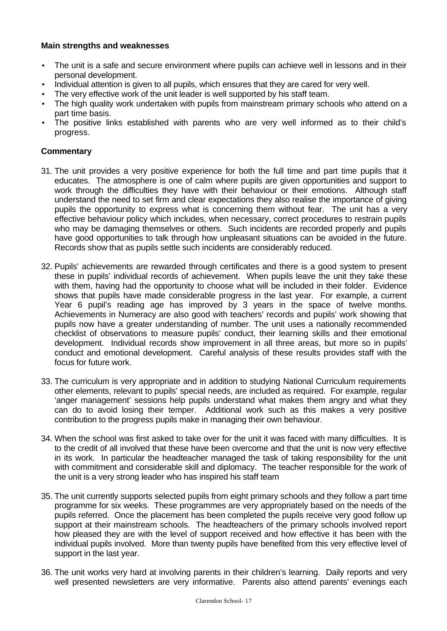## **Main strengths and weaknesses**

- The unit is a safe and secure environment where pupils can achieve well in lessons and in their personal development.
- Individual attention is given to all pupils, which ensures that they are cared for very well.
- The very effective work of the unit leader is well supported by his staff team.
- The high quality work undertaken with pupils from mainstream primary schools who attend on a part time basis.
- The positive links established with parents who are very well informed as to their child's progress.

- 31. The unit provides a very positive experience for both the full time and part time pupils that it educates. The atmosphere is one of calm where pupils are given opportunities and support to work through the difficulties they have with their behaviour or their emotions. Although staff understand the need to set firm and clear expectations they also realise the importance of giving pupils the opportunity to express what is concerning them without fear. The unit has a very effective behaviour policy which includes, when necessary, correct procedures to restrain pupils who may be damaging themselves or others. Such incidents are recorded properly and pupils have good opportunities to talk through how unpleasant situations can be avoided in the future. Records show that as pupils settle such incidents are considerably reduced.
- 32. Pupils' achievements are rewarded through certificates and there is a good system to present these in pupils' individual records of achievement. When pupils leave the unit they take these with them, having had the opportunity to choose what will be included in their folder. Evidence shows that pupils have made considerable progress in the last year. For example, a current Year 6 pupil's reading age has improved by 3 years in the space of twelve months. Achievements in Numeracy are also good with teachers' records and pupils' work showing that pupils now have a greater understanding of number. The unit uses a nationally recommended checklist of observations to measure pupils' conduct, their learning skills and their emotional development. Individual records show improvement in all three areas, but more so in pupils' conduct and emotional development. Careful analysis of these results provides staff with the focus for future work.
- 33. The curriculum is very appropriate and in addition to studying National Curriculum requirements other elements, relevant to pupils' special needs, are included as required. For example, regular 'anger management' sessions help pupils understand what makes them angry and what they can do to avoid losing their temper. Additional work such as this makes a very positive contribution to the progress pupils make in managing their own behaviour.
- 34. When the school was first asked to take over for the unit it was faced with many difficulties. It is to the credit of all involved that these have been overcome and that the unit is now very effective in its work. In particular the headteacher managed the task of taking responsibility for the unit with commitment and considerable skill and diplomacy. The teacher responsible for the work of the unit is a very strong leader who has inspired his staff team
- 35. The unit currently supports selected pupils from eight primary schools and they follow a part time programme for six weeks. These programmes are very appropriately based on the needs of the pupils referred. Once the placement has been completed the pupils receive very good follow up support at their mainstream schools. The headteachers of the primary schools involved report how pleased they are with the level of support received and how effective it has been with the individual pupils involved. More than twenty pupils have benefited from this very effective level of support in the last year.
- 36. The unit works very hard at involving parents in their children's learning. Daily reports and very well presented newsletters are very informative. Parents also attend parents' evenings each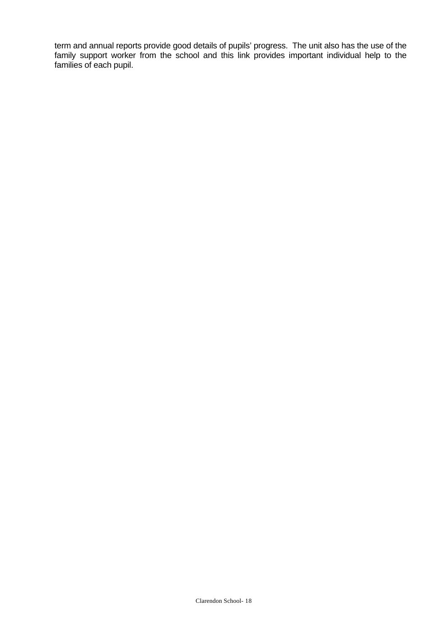term and annual reports provide good details of pupils' progress. The unit also has the use of the family support worker from the school and this link provides important individual help to the families of each pupil.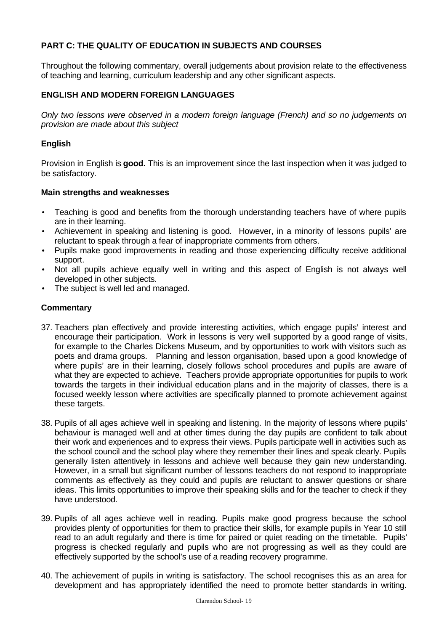# **PART C: THE QUALITY OF EDUCATION IN SUBJECTS AND COURSES**

Throughout the following commentary, overall judgements about provision relate to the effectiveness of teaching and learning, curriculum leadership and any other significant aspects.

## **ENGLISH AND MODERN FOREIGN LANGUAGES**

*Only two lessons were observed in a modern foreign language (French) and so no judgements on provision are made about this subject*

## **English**

Provision in English is **good.** This is an improvement since the last inspection when it was judged to be satisfactory.

## **Main strengths and weaknesses**

- Teaching is good and benefits from the thorough understanding teachers have of where pupils are in their learning.
- Achievement in speaking and listening is good. However, in a minority of lessons pupils' are reluctant to speak through a fear of inappropriate comments from others.
- Pupils make good improvements in reading and those experiencing difficulty receive additional support.
- Not all pupils achieve equally well in writing and this aspect of English is not always well developed in other subjects.
- The subject is well led and managed.

- 37. Teachers plan effectively and provide interesting activities, which engage pupils' interest and encourage their participation. Work in lessons is very well supported by a good range of visits, for example to the Charles Dickens Museum, and by opportunities to work with visitors such as poets and drama groups. Planning and lesson organisation, based upon a good knowledge of where pupils' are in their learning, closely follows school procedures and pupils are aware of what they are expected to achieve. Teachers provide appropriate opportunities for pupils to work towards the targets in their individual education plans and in the majority of classes, there is a focused weekly lesson where activities are specifically planned to promote achievement against these targets.
- 38. Pupils of all ages achieve well in speaking and listening. In the majority of lessons where pupils' behaviour is managed well and at other times during the day pupils are confident to talk about their work and experiences and to express their views. Pupils participate well in activities such as the school council and the school play where they remember their lines and speak clearly. Pupils generally listen attentively in lessons and achieve well because they gain new understanding. However, in a small but significant number of lessons teachers do not respond to inappropriate comments as effectively as they could and pupils are reluctant to answer questions or share ideas. This limits opportunities to improve their speaking skills and for the teacher to check if they have understood.
- 39. Pupils of all ages achieve well in reading. Pupils make good progress because the school provides plenty of opportunities for them to practice their skills, for example pupils in Year 10 still read to an adult regularly and there is time for paired or quiet reading on the timetable. Pupils' progress is checked regularly and pupils who are not progressing as well as they could are effectively supported by the school's use of a reading recovery programme.
- 40. The achievement of pupils in writing is satisfactory. The school recognises this as an area for development and has appropriately identified the need to promote better standards in writing.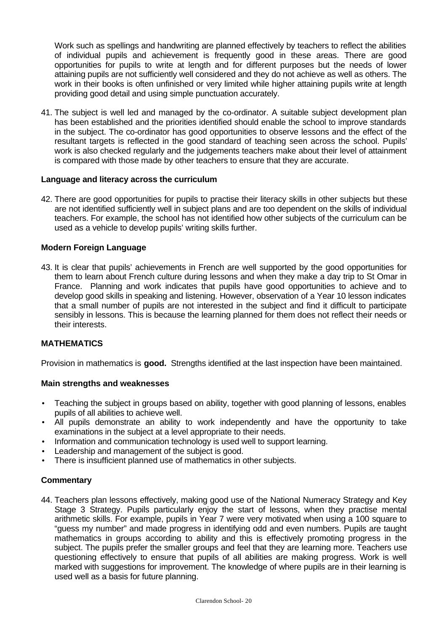Work such as spellings and handwriting are planned effectively by teachers to reflect the abilities of individual pupils and achievement is frequently good in these areas. There are good opportunities for pupils to write at length and for different purposes but the needs of lower attaining pupils are not sufficiently well considered and they do not achieve as well as others. The work in their books is often unfinished or very limited while higher attaining pupils write at length providing good detail and using simple punctuation accurately.

41. The subject is well led and managed by the co-ordinator. A suitable subject development plan has been established and the priorities identified should enable the school to improve standards in the subject. The co-ordinator has good opportunities to observe lessons and the effect of the resultant targets is reflected in the good standard of teaching seen across the school. Pupils' work is also checked regularly and the judgements teachers make about their level of attainment is compared with those made by other teachers to ensure that they are accurate.

## **Language and literacy across the curriculum**

42. There are good opportunities for pupils to practise their literacy skills in other subjects but these are not identified sufficiently well in subject plans and are too dependent on the skills of individual teachers. For example, the school has not identified how other subjects of the curriculum can be used as a vehicle to develop pupils' writing skills further.

## **Modern Foreign Language**

43. It is clear that pupils' achievements in French are well supported by the good opportunities for them to learn about French culture during lessons and when they make a day trip to St Omar in France. Planning and work indicates that pupils have good opportunities to achieve and to develop good skills in speaking and listening. However, observation of a Year 10 lesson indicates that a small number of pupils are not interested in the subject and find it difficult to participate sensibly in lessons. This is because the learning planned for them does not reflect their needs or their interests.

## **MATHEMATICS**

Provision in mathematics is **good.** Strengths identified at the last inspection have been maintained.

#### **Main strengths and weaknesses**

- Teaching the subject in groups based on ability, together with good planning of lessons, enables pupils of all abilities to achieve well.
- All pupils demonstrate an ability to work independently and have the opportunity to take examinations in the subject at a level appropriate to their needs.
- Information and communication technology is used well to support learning.
- Leadership and management of the subject is good.
- There is insufficient planned use of mathematics in other subjects.

#### **Commentary**

44. Teachers plan lessons effectively, making good use of the National Numeracy Strategy and Key Stage 3 Strategy. Pupils particularly enjoy the start of lessons, when they practise mental arithmetic skills. For example, pupils in Year 7 were very motivated when using a 100 square to "guess my number" and made progress in identifying odd and even numbers. Pupils are taught mathematics in groups according to ability and this is effectively promoting progress in the subject. The pupils prefer the smaller groups and feel that they are learning more. Teachers use questioning effectively to ensure that pupils of all abilities are making progress. Work is well marked with suggestions for improvement. The knowledge of where pupils are in their learning is used well as a basis for future planning.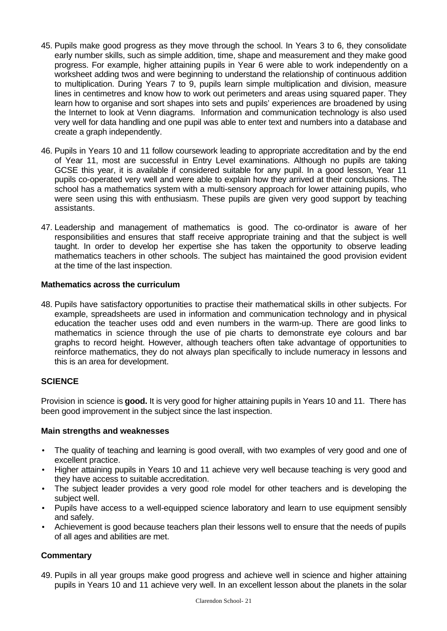- 45. Pupils make good progress as they move through the school. In Years 3 to 6, they consolidate early number skills, such as simple addition, time, shape and measurement and they make good progress. For example, higher attaining pupils in Year 6 were able to work independently on a worksheet adding twos and were beginning to understand the relationship of continuous addition to multiplication. During Years 7 to 9, pupils learn simple multiplication and division, measure lines in centimetres and know how to work out perimeters and areas using squared paper. They learn how to organise and sort shapes into sets and pupils' experiences are broadened by using the Internet to look at Venn diagrams. Information and communication technology is also used very well for data handling and one pupil was able to enter text and numbers into a database and create a graph independently.
- 46. Pupils in Years 10 and 11 follow coursework leading to appropriate accreditation and by the end of Year 11, most are successful in Entry Level examinations. Although no pupils are taking GCSE this year, it is available if considered suitable for any pupil. In a good lesson, Year 11 pupils co-operated very well and were able to explain how they arrived at their conclusions. The school has a mathematics system with a multi-sensory approach for lower attaining pupils, who were seen using this with enthusiasm. These pupils are given very good support by teaching assistants.
- 47. Leadership and management of mathematics is good. The co-ordinator is aware of her responsibilities and ensures that staff receive appropriate training and that the subject is well taught. In order to develop her expertise she has taken the opportunity to observe leading mathematics teachers in other schools. The subject has maintained the good provision evident at the time of the last inspection.

## **Mathematics across the curriculum**

48. Pupils have satisfactory opportunities to practise their mathematical skills in other subjects. For example, spreadsheets are used in information and communication technology and in physical education the teacher uses odd and even numbers in the warm-up. There are good links to mathematics in science through the use of pie charts to demonstrate eye colours and bar graphs to record height. However, although teachers often take advantage of opportunities to reinforce mathematics, they do not always plan specifically to include numeracy in lessons and this is an area for development.

# **SCIENCE**

Provision in science is **good.** It is very good for higher attaining pupils in Years 10 and 11. There has been good improvement in the subject since the last inspection.

## **Main strengths and weaknesses**

- The quality of teaching and learning is good overall, with two examples of very good and one of excellent practice.
- Higher attaining pupils in Years 10 and 11 achieve very well because teaching is very good and they have access to suitable accreditation.
- The subject leader provides a very good role model for other teachers and is developing the subject well.
- Pupils have access to a well-equipped science laboratory and learn to use equipment sensibly and safely.
- Achievement is good because teachers plan their lessons well to ensure that the needs of pupils of all ages and abilities are met.

# **Commentary**

49. Pupils in all year groups make good progress and achieve well in science and higher attaining pupils in Years 10 and 11 achieve very well. In an excellent lesson about the planets in the solar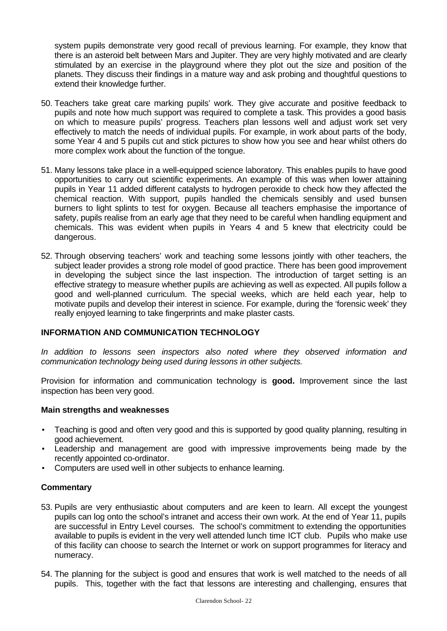system pupils demonstrate very good recall of previous learning. For example, they know that there is an asteroid belt between Mars and Jupiter. They are very highly motivated and are clearly stimulated by an exercise in the playground where they plot out the size and position of the planets. They discuss their findings in a mature way and ask probing and thoughtful questions to extend their knowledge further.

- 50. Teachers take great care marking pupils' work. They give accurate and positive feedback to pupils and note how much support was required to complete a task. This provides a good basis on which to measure pupils' progress. Teachers plan lessons well and adjust work set very effectively to match the needs of individual pupils. For example, in work about parts of the body, some Year 4 and 5 pupils cut and stick pictures to show how you see and hear whilst others do more complex work about the function of the tongue.
- 51. Many lessons take place in a well-equipped science laboratory. This enables pupils to have good opportunities to carry out scientific experiments. An example of this was when lower attaining pupils in Year 11 added different catalysts to hydrogen peroxide to check how they affected the chemical reaction. With support, pupils handled the chemicals sensibly and used bunsen burners to light splints to test for oxygen. Because all teachers emphasise the importance of safety, pupils realise from an early age that they need to be careful when handling equipment and chemicals. This was evident when pupils in Years 4 and 5 knew that electricity could be dangerous.
- 52. Through observing teachers' work and teaching some lessons jointly with other teachers, the subject leader provides a strong role model of good practice. There has been good improvement in developing the subject since the last inspection. The introduction of target setting is an effective strategy to measure whether pupils are achieving as well as expected. All pupils follow a good and well-planned curriculum. The special weeks, which are held each year, help to motivate pupils and develop their interest in science. For example, during the 'forensic week' they really enjoyed learning to take fingerprints and make plaster casts.

## **INFORMATION AND COMMUNICATION TECHNOLOGY**

*In addition to lessons seen inspectors also noted where they observed information and communication technology being used during lessons in other subjects.*

Provision for information and communication technology is **good.** Improvement since the last inspection has been very good.

## **Main strengths and weaknesses**

- Teaching is good and often very good and this is supported by good quality planning, resulting in good achievement.
- Leadership and management are good with impressive improvements being made by the recently appointed co-ordinator.
- Computers are used well in other subjects to enhance learning.

- 53. Pupils are very enthusiastic about computers and are keen to learn. All except the youngest pupils can log onto the school's intranet and access their own work. At the end of Year 11, pupils are successful in Entry Level courses. The school's commitment to extending the opportunities available to pupils is evident in the very well attended lunch time ICT club. Pupils who make use of this facility can choose to search the Internet or work on support programmes for literacy and numeracy.
- 54. The planning for the subject is good and ensures that work is well matched to the needs of all pupils. This, together with the fact that lessons are interesting and challenging, ensures that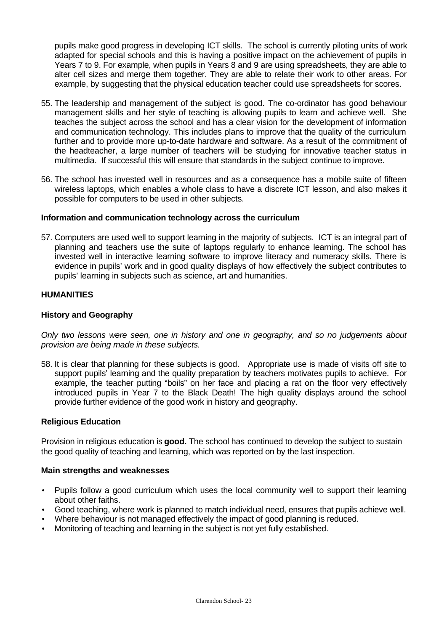pupils make good progress in developing ICT skills. The school is currently piloting units of work adapted for special schools and this is having a positive impact on the achievement of pupils in Years 7 to 9. For example, when pupils in Years 8 and 9 are using spreadsheets, they are able to alter cell sizes and merge them together. They are able to relate their work to other areas. For example, by suggesting that the physical education teacher could use spreadsheets for scores.

- 55. The leadership and management of the subject is good. The co-ordinator has good behaviour management skills and her style of teaching is allowing pupils to learn and achieve well. She teaches the subject across the school and has a clear vision for the development of information and communication technology. This includes plans to improve that the quality of the curriculum further and to provide more up-to-date hardware and software. As a result of the commitment of the headteacher, a large number of teachers will be studying for innovative teacher status in multimedia. If successful this will ensure that standards in the subject continue to improve.
- 56. The school has invested well in resources and as a consequence has a mobile suite of fifteen wireless laptops, which enables a whole class to have a discrete ICT lesson, and also makes it possible for computers to be used in other subjects.

## **Information and communication technology across the curriculum**

57. Computers are used well to support learning in the majority of subjects. ICT is an integral part of planning and teachers use the suite of laptops regularly to enhance learning. The school has invested well in interactive learning software to improve literacy and numeracy skills. There is evidence in pupils' work and in good quality displays of how effectively the subject contributes to pupils' learning in subjects such as science, art and humanities.

## **HUMANITIES**

## **History and Geography**

*Only two lessons were seen, one in history and one in geography, and so no judgements about provision are being made in these subjects.*

58. It is clear that planning for these subjects is good. Appropriate use is made of visits off site to support pupils' learning and the quality preparation by teachers motivates pupils to achieve. For example, the teacher putting "boils" on her face and placing a rat on the floor very effectively introduced pupils in Year 7 to the Black Death! The high quality displays around the school provide further evidence of the good work in history and geography.

## **Religious Education**

Provision in religious education is **good.** The school has continued to develop the subject to sustain the good quality of teaching and learning, which was reported on by the last inspection.

#### **Main strengths and weaknesses**

- Pupils follow a good curriculum which uses the local community well to support their learning about other faiths.
- Good teaching, where work is planned to match individual need, ensures that pupils achieve well.
- Where behaviour is not managed effectively the impact of good planning is reduced.
- Monitoring of teaching and learning in the subject is not yet fully established.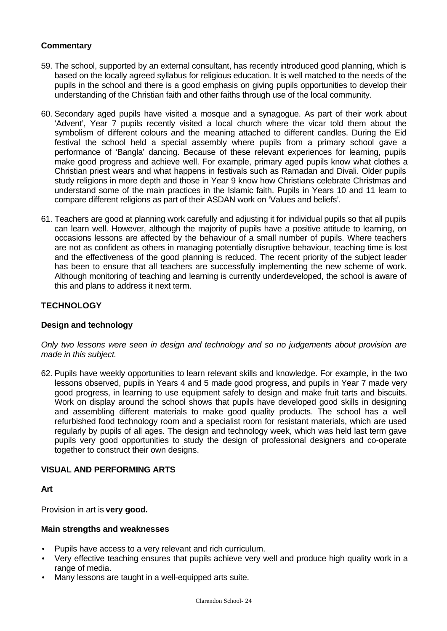# **Commentary**

- 59. The school, supported by an external consultant, has recently introduced good planning, which is based on the locally agreed syllabus for religious education. It is well matched to the needs of the pupils in the school and there is a good emphasis on giving pupils opportunities to develop their understanding of the Christian faith and other faiths through use of the local community.
- 60. Secondary aged pupils have visited a mosque and a synagogue. As part of their work about 'Advent', Year 7 pupils recently visited a local church where the vicar told them about the symbolism of different colours and the meaning attached to different candles. During the Eid festival the school held a special assembly where pupils from a primary school gave a performance of 'Bangla' dancing. Because of these relevant experiences for learning, pupils make good progress and achieve well. For example, primary aged pupils know what clothes a Christian priest wears and what happens in festivals such as Ramadan and Divali. Older pupils study religions in more depth and those in Year 9 know how Christians celebrate Christmas and understand some of the main practices in the Islamic faith. Pupils in Years 10 and 11 learn to compare different religions as part of their ASDAN work on 'Values and beliefs'.
- 61. Teachers are good at planning work carefully and adjusting it for individual pupils so that all pupils can learn well. However, although the majority of pupils have a positive attitude to learning, on occasions lessons are affected by the behaviour of a small number of pupils. Where teachers are not as confident as others in managing potentially disruptive behaviour, teaching time is lost and the effectiveness of the good planning is reduced. The recent priority of the subject leader has been to ensure that all teachers are successfully implementing the new scheme of work. Although monitoring of teaching and learning is currently underdeveloped, the school is aware of this and plans to address it next term.

## **TECHNOLOGY**

## **Design and technology**

*Only two lessons were seen in design and technology and so no judgements about provision are made in this subject.*

62. Pupils have weekly opportunities to learn relevant skills and knowledge. For example, in the two lessons observed, pupils in Years 4 and 5 made good progress, and pupils in Year 7 made very good progress, in learning to use equipment safely to design and make fruit tarts and biscuits. Work on display around the school shows that pupils have developed good skills in designing and assembling different materials to make good quality products. The school has a well refurbished food technology room and a specialist room for resistant materials, which are used regularly by pupils of all ages. The design and technology week, which was held last term gave pupils very good opportunities to study the design of professional designers and co-operate together to construct their own designs.

#### **VISUAL AND PERFORMING ARTS**

**Art**

Provision in art is **very good.**

#### **Main strengths and weaknesses**

- Pupils have access to a very relevant and rich curriculum.
- Very effective teaching ensures that pupils achieve very well and produce high quality work in a range of media.
- Many lessons are taught in a well-equipped arts suite.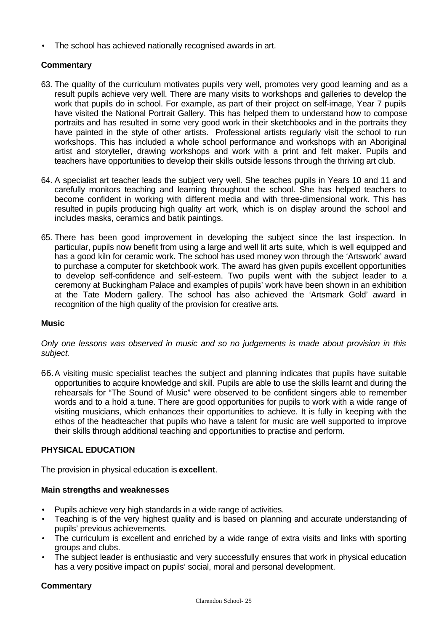The school has achieved nationally recognised awards in art.

# **Commentary**

- 63. The quality of the curriculum motivates pupils very well, promotes very good learning and as a result pupils achieve very well. There are many visits to workshops and galleries to develop the work that pupils do in school. For example, as part of their project on self-image, Year 7 pupils have visited the National Portrait Gallery. This has helped them to understand how to compose portraits and has resulted in some very good work in their sketchbooks and in the portraits they have painted in the style of other artists. Professional artists regularly visit the school to run workshops. This has included a whole school performance and workshops with an Aboriginal artist and storyteller, drawing workshops and work with a print and felt maker. Pupils and teachers have opportunities to develop their skills outside lessons through the thriving art club.
- 64. A specialist art teacher leads the subject very well. She teaches pupils in Years 10 and 11 and carefully monitors teaching and learning throughout the school. She has helped teachers to become confident in working with different media and with three-dimensional work. This has resulted in pupils producing high quality art work, which is on display around the school and includes masks, ceramics and batik paintings.
- 65. There has been good improvement in developing the subject since the last inspection. In particular, pupils now benefit from using a large and well lit arts suite, which is well equipped and has a good kiln for ceramic work. The school has used money won through the 'Artswork' award to purchase a computer for sketchbook work. The award has given pupils excellent opportunities to develop self-confidence and self-esteem. Two pupils went with the subject leader to a ceremony at Buckingham Palace and examples of pupils' work have been shown in an exhibition at the Tate Modern gallery. The school has also achieved the 'Artsmark Gold' award in recognition of the high quality of the provision for creative arts.

#### **Music**

*Only one lessons was observed in music and so no judgements is made about provision in this subject.*

66.A visiting music specialist teaches the subject and planning indicates that pupils have suitable opportunities to acquire knowledge and skill. Pupils are able to use the skills learnt and during the rehearsals for "The Sound of Music" were observed to be confident singers able to remember words and to a hold a tune. There are good opportunities for pupils to work with a wide range of visiting musicians, which enhances their opportunities to achieve. It is fully in keeping with the ethos of the headteacher that pupils who have a talent for music are well supported to improve their skills through additional teaching and opportunities to practise and perform.

## **PHYSICAL EDUCATION**

The provision in physical education is **excellent**.

## **Main strengths and weaknesses**

- Pupils achieve very high standards in a wide range of activities.
- Teaching is of the very highest quality and is based on planning and accurate understanding of pupils' previous achievements.
- The curriculum is excellent and enriched by a wide range of extra visits and links with sporting groups and clubs.
- The subject leader is enthusiastic and very successfully ensures that work in physical education has a very positive impact on pupils' social, moral and personal development.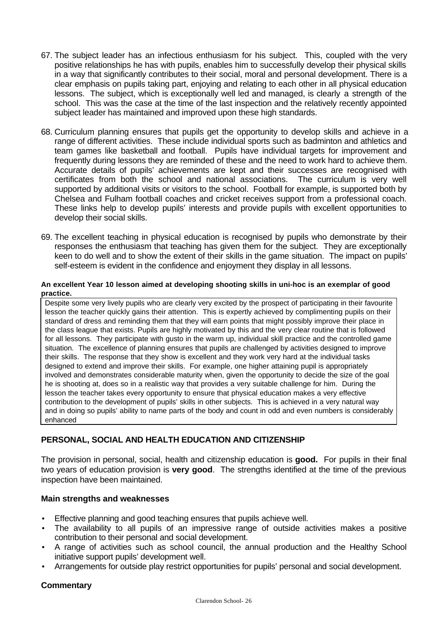- 67. The subject leader has an infectious enthusiasm for his subject. This, coupled with the very positive relationships he has with pupils, enables him to successfully develop their physical skills in a way that significantly contributes to their social, moral and personal development. There is a clear emphasis on pupils taking part, enjoying and relating to each other in all physical education lessons. The subject, which is exceptionally well led and managed, is clearly a strength of the school. This was the case at the time of the last inspection and the relatively recently appointed subject leader has maintained and improved upon these high standards.
- 68. Curriculum planning ensures that pupils get the opportunity to develop skills and achieve in a range of different activities. These include individual sports such as badminton and athletics and team games like basketball and football. Pupils have individual targets for improvement and frequently during lessons they are reminded of these and the need to work hard to achieve them. Accurate details of pupils' achievements are kept and their successes are recognised with certificates from both the school and national associations. The curriculum is very well supported by additional visits or visitors to the school. Football for example, is supported both by Chelsea and Fulham football coaches and cricket receives support from a professional coach. These links help to develop pupils' interests and provide pupils with excellent opportunities to develop their social skills.
- 69. The excellent teaching in physical education is recognised by pupils who demonstrate by their responses the enthusiasm that teaching has given them for the subject. They are exceptionally keen to do well and to show the extent of their skills in the game situation. The impact on pupils' self-esteem is evident in the confidence and enjoyment they display in all lessons.

#### **An excellent Year 10 lesson aimed at developing shooting skills in uni-hoc is an exemplar of good practice.**

Despite some very lively pupils who are clearly very excited by the prospect of participating in their favourite lesson the teacher quickly gains their attention. This is expertly achieved by complimenting pupils on their standard of dress and reminding them that they will earn points that might possibly improve their place in the class league that exists. Pupils are highly motivated by this and the very clear routine that is followed for all lessons. They participate with gusto in the warm up, individual skill practice and the controlled game situation. The excellence of planning ensures that pupils are challenged by activities designed to improve their skills. The response that they show is excellent and they work very hard at the individual tasks designed to extend and improve their skills. For example, one higher attaining pupil is appropriately involved and demonstrates considerable maturity when, given the opportunity to decide the size of the goal he is shooting at, does so in a realistic way that provides a very suitable challenge for him. During the lesson the teacher takes every opportunity to ensure that physical education makes a very effective contribution to the development of pupils' skills in other subjects. This is achieved in a very natural way and in doing so pupils' ability to name parts of the body and count in odd and even numbers is considerably enhanced

# **PERSONAL, SOCIAL AND HEALTH EDUCATION AND CITIZENSHIP**

The provision in personal, social, health and citizenship education is **good.** For pupils in their final two years of education provision is **very good**. The strengths identified at the time of the previous inspection have been maintained.

## **Main strengths and weaknesses**

- Effective planning and good teaching ensures that pupils achieve well.
- The availability to all pupils of an impressive range of outside activities makes a positive contribution to their personal and social development.
- A range of activities such as school council, the annual production and the Healthy School initiative support pupils' development well.
- Arrangements for outside play restrict opportunities for pupils' personal and social development.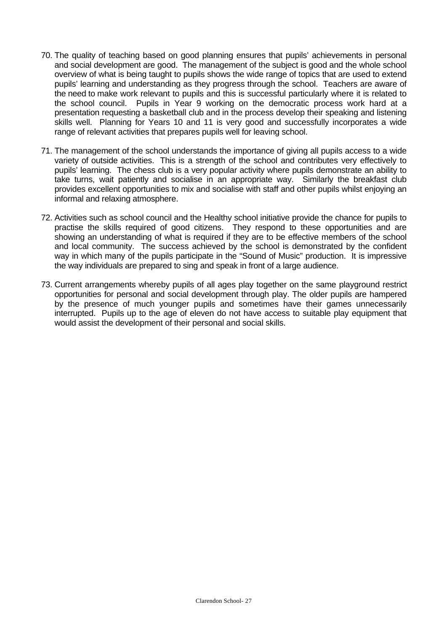- 70. The quality of teaching based on good planning ensures that pupils' achievements in personal and social development are good. The management of the subject is good and the whole school overview of what is being taught to pupils shows the wide range of topics that are used to extend pupils' learning and understanding as they progress through the school. Teachers are aware of the need to make work relevant to pupils and this is successful particularly where it is related to the school council. Pupils in Year 9 working on the democratic process work hard at a presentation requesting a basketball club and in the process develop their speaking and listening skills well. Planning for Years 10 and 11 is very good and successfully incorporates a wide range of relevant activities that prepares pupils well for leaving school.
- 71. The management of the school understands the importance of giving all pupils access to a wide variety of outside activities. This is a strength of the school and contributes very effectively to pupils' learning. The chess club is a very popular activity where pupils demonstrate an ability to take turns, wait patiently and socialise in an appropriate way. Similarly the breakfast club provides excellent opportunities to mix and socialise with staff and other pupils whilst enjoying an informal and relaxing atmosphere.
- 72. Activities such as school council and the Healthy school initiative provide the chance for pupils to practise the skills required of good citizens. They respond to these opportunities and are showing an understanding of what is required if they are to be effective members of the school and local community. The success achieved by the school is demonstrated by the confident way in which many of the pupils participate in the "Sound of Music" production. It is impressive the way individuals are prepared to sing and speak in front of a large audience.
- 73. Current arrangements whereby pupils of all ages play together on the same playground restrict opportunities for personal and social development through play. The older pupils are hampered by the presence of much younger pupils and sometimes have their games unnecessarily interrupted. Pupils up to the age of eleven do not have access to suitable play equipment that would assist the development of their personal and social skills.